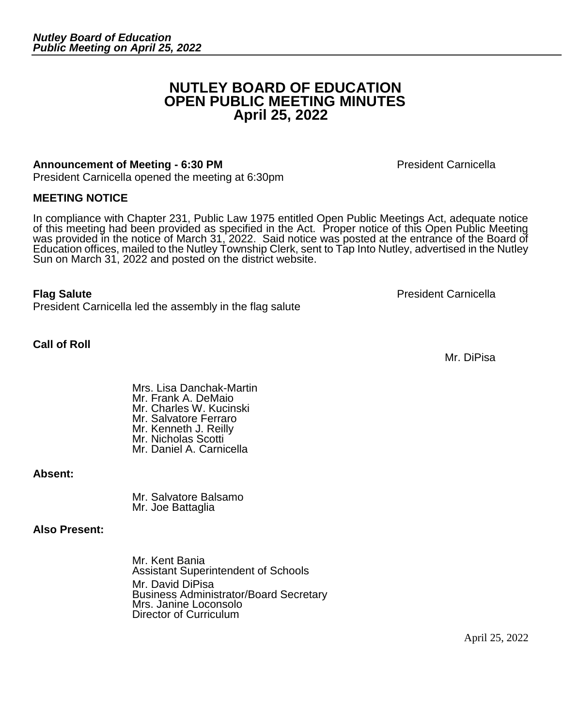# **NUTLEY BOARD OF EDUCATION OPEN PUBLIC MEETING MINUTES April 25, 2022**

#### **Announcement of Meeting - 6:30 PM President Carnicella**

President Carnicella opened the meeting at 6:30pm

#### **MEETING NOTICE**

In compliance with Chapter 231, Public Law 1975 entitled Open Public Meetings Act, adequate notice of this meeting had been provided as specified in the Act. Proper notice of this Open Public Meeting was provided in the notice of March 31, 2022. Said notice was posted at the entrance of the Board of Education offices, mailed to the Nutley Township Clerk, sent to Tap Into Nutley, advertised in the Nutley Sun on March 31, 2022 and posted on the district website.

#### **Flag Salute President Carnicella**

**Call of Roll**

President Carnicella led the assembly in the flag salute

Mrs. Lisa Danchak-Martin Mr. Frank A. DeMaio Mr. Charles W. Kucinski Mr. Salvatore Ferraro Mr. Kenneth J. Reilly Mr. Nicholas Scotti Mr. Daniel A. Carnicella

**Absent:**

Mr. Salvatore Balsamo Mr. Joe Battaglia

#### **Also Present:**

Mr. Kent Bania Assistant Superintendent of Schools Mr. David DiPisa Business Administrator/Board Secretary Mrs. Janine Loconsolo Director of Curriculum

Mr. DiPisa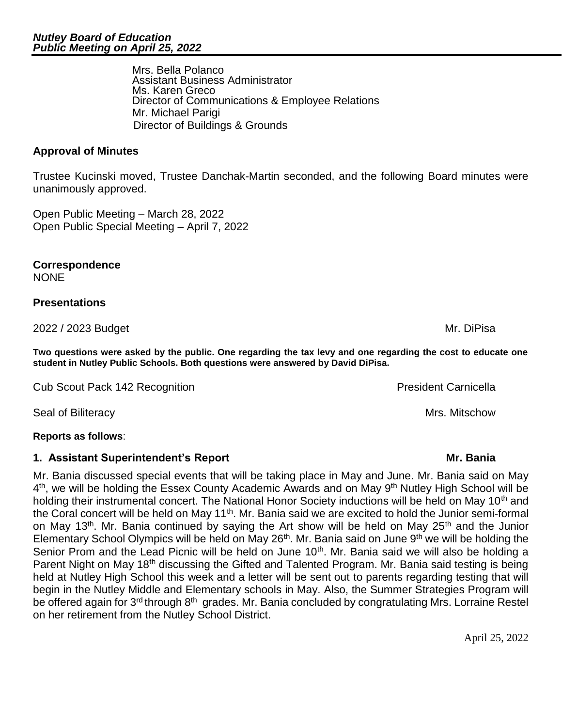Assistant Business Administrator Ms. Karen Greco Director of Communications & Employee Relations Mr. Michael Parigi Director of Buildings & Grounds

**Approval of Minutes** 

Trustee Kucinski moved, Trustee Danchak-Martin seconded, and the following Board minutes were unanimously approved.

Open Public Meeting – March 28, 2022 Open Public Special Meeting – April 7, 2022

Mrs. Bella Polanco

**Correspondence**  NONE

## **Presentations**

2022 / 2023 Budget Mr. DiPisa

**Two questions were asked by the public. One regarding the tax levy and one regarding the cost to educate one student in Nutley Public Schools. Both questions were answered by David DiPisa.**

Cub Scout Pack 142 Recognition **President Carnicella** President Carnicella

Seal of Biliteracy **Mrs. Mitschow** Seal of Biliteracy

## **Reports as follows**:

# **1. Assistant Superintendent's Report Mr. Bania**

Mr. Bania discussed special events that will be taking place in May and June. Mr. Bania said on May 4<sup>th</sup>, we will be holding the Essex County Academic Awards and on May 9<sup>th</sup> Nutley High School will be holding their instrumental concert. The National Honor Society inductions will be held on May 10<sup>th</sup> and the Coral concert will be held on May 11<sup>th</sup>. Mr. Bania said we are excited to hold the Junior semi-formal on May 13<sup>th</sup>. Mr. Bania continued by saying the Art show will be held on May 25<sup>th</sup> and the Junior Elementary School Olympics will be held on May  $26<sup>th</sup>$ . Mr. Bania said on June  $9<sup>th</sup>$  we will be holding the Senior Prom and the Lead Picnic will be held on June 10<sup>th</sup>. Mr. Bania said we will also be holding a Parent Night on May 18<sup>th</sup> discussing the Gifted and Talented Program. Mr. Bania said testing is being held at Nutley High School this week and a letter will be sent out to parents regarding testing that will begin in the Nutley Middle and Elementary schools in May. Also, the Summer Strategies Program will be offered again for 3<sup>rd</sup> through 8<sup>th</sup> grades. Mr. Bania concluded by congratulating Mrs. Lorraine Restel on her retirement from the Nutley School District.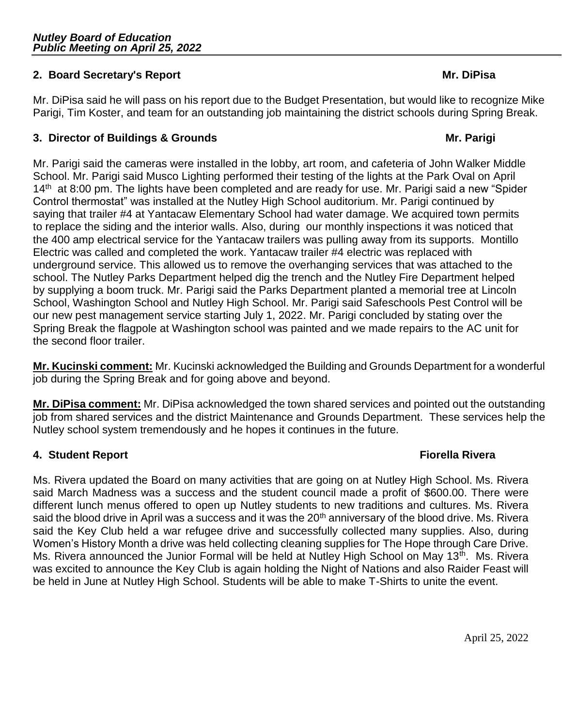## **2. Board Secretary's Report Mr. DiPisa**

Mr. DiPisa said he will pass on his report due to the Budget Presentation, but would like to recognize Mike Parigi, Tim Koster, and team for an outstanding job maintaining the district schools during Spring Break.

## **3. Director of Buildings & Grounds Mr. Parigi Mr. Parigi**

Mr. Parigi said the cameras were installed in the lobby, art room, and cafeteria of John Walker Middle School. Mr. Parigi said Musco Lighting performed their testing of the lights at the Park Oval on April  $14<sup>th</sup>$  at 8:00 pm. The lights have been completed and are ready for use. Mr. Parigi said a new "Spider Control thermostat" was installed at the Nutley High School auditorium. Mr. Parigi continued by saying that trailer #4 at Yantacaw Elementary School had water damage. We acquired town permits to replace the siding and the interior walls. Also, during our monthly inspections it was noticed that the 400 amp electrical service for the Yantacaw trailers was pulling away from its supports. Montillo Electric was called and completed the work. Yantacaw trailer #4 electric was replaced with underground service. This allowed us to remove the overhanging services that was attached to the school. The Nutley Parks Department helped dig the trench and the Nutley Fire Department helped by supplying a boom truck. Mr. Parigi said the Parks Department planted a memorial tree at Lincoln School, Washington School and Nutley High School. Mr. Parigi said Safeschools Pest Control will be our new pest management service starting July 1, 2022. Mr. Parigi concluded by stating over the Spring Break the flagpole at Washington school was painted and we made repairs to the AC unit for the second floor trailer.

**Mr. Kucinski comment:** Mr. Kucinski acknowledged the Building and Grounds Department for a wonderful job during the Spring Break and for going above and beyond.

**Mr. DiPisa comment:** Mr. DiPisa acknowledged the town shared services and pointed out the outstanding job from shared services and the district Maintenance and Grounds Department. These services help the Nutley school system tremendously and he hopes it continues in the future.

## **4. Student Report Fiorella Rivera**

Ms. Rivera updated the Board on many activities that are going on at Nutley High School. Ms. Rivera said March Madness was a success and the student council made a profit of \$600.00. There were different lunch menus offered to open up Nutley students to new traditions and cultures. Ms. Rivera said the blood drive in April was a success and it was the 20<sup>th</sup> anniversary of the blood drive. Ms. Rivera said the Key Club held a war refugee drive and successfully collected many supplies. Also, during Women's History Month a drive was held collecting cleaning supplies for The Hope through Care Drive. Ms. Rivera announced the Junior Formal will be held at Nutley High School on May 13<sup>th</sup>. Ms. Rivera was excited to announce the Key Club is again holding the Night of Nations and also Raider Feast will be held in June at Nutley High School. Students will be able to make T-Shirts to unite the event.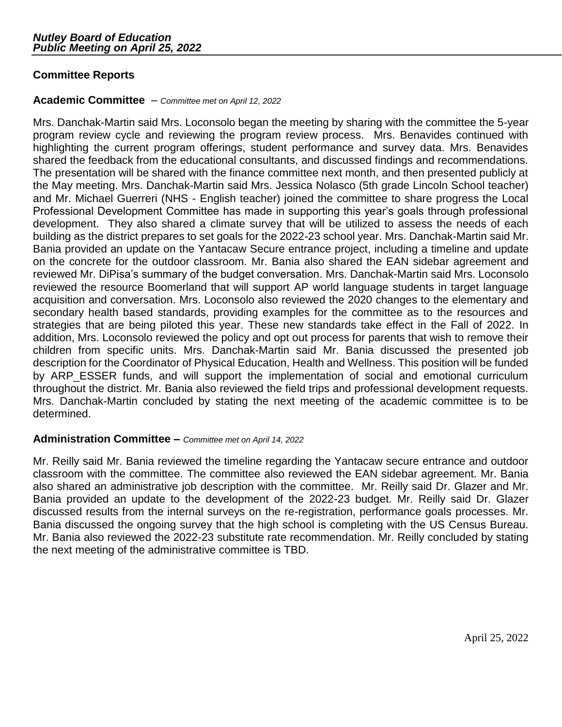## **Committee Reports**

#### **Academic Committee** – *Committee met on April 12, 2022*

Mrs. Danchak-Martin said Mrs. Loconsolo began the meeting by sharing with the committee the 5-year program review cycle and reviewing the program review process. Mrs. Benavides continued with highlighting the current program offerings, student performance and survey data. Mrs. Benavides shared the feedback from the educational consultants, and discussed findings and recommendations. The presentation will be shared with the finance committee next month, and then presented publicly at the May meeting. Mrs. Danchak-Martin said Mrs. Jessica Nolasco (5th grade Lincoln School teacher) and Mr. Michael Guerreri (NHS - English teacher) joined the committee to share progress the Local Professional Development Committee has made in supporting this year's goals through professional development. They also shared a climate survey that will be utilized to assess the needs of each building as the district prepares to set goals for the 2022-23 school year. Mrs. Danchak-Martin said Mr. Bania provided an update on the Yantacaw Secure entrance project, including a timeline and update on the concrete for the outdoor classroom. Mr. Bania also shared the EAN sidebar agreement and reviewed Mr. DiPisa's summary of the budget conversation. Mrs. Danchak-Martin said Mrs. Loconsolo reviewed the resource Boomerland that will support AP world language students in target language acquisition and conversation. Mrs. Loconsolo also reviewed the 2020 changes to the elementary and secondary health based standards, providing examples for the committee as to the resources and strategies that are being piloted this year. These new standards take effect in the Fall of 2022. In addition, Mrs. Loconsolo reviewed the policy and opt out process for parents that wish to remove their children from specific units. Mrs. Danchak-Martin said Mr. Bania discussed the presented job description for the Coordinator of Physical Education, Health and Wellness. This position will be funded by ARP\_ESSER funds, and will support the implementation of social and emotional curriculum throughout the district. Mr. Bania also reviewed the field trips and professional development requests. Mrs. Danchak-Martin concluded by stating the next meeting of the academic committee is to be determined.

## **Administration Committee –** *Committee met on April 14, 2022*

Mr. Reilly said Mr. Bania reviewed the timeline regarding the Yantacaw secure entrance and outdoor classroom with the committee. The committee also reviewed the EAN sidebar agreement. Mr. Bania also shared an administrative job description with the committee. Mr. Reilly said Dr. Glazer and Mr. Bania provided an update to the development of the 2022-23 budget. Mr. Reilly said Dr. Glazer discussed results from the internal surveys on the re-registration, performance goals processes. Mr. Bania discussed the ongoing survey that the high school is completing with the US Census Bureau. Mr. Bania also reviewed the 2022-23 substitute rate recommendation. Mr. Reilly concluded by stating the next meeting of the administrative committee is TBD.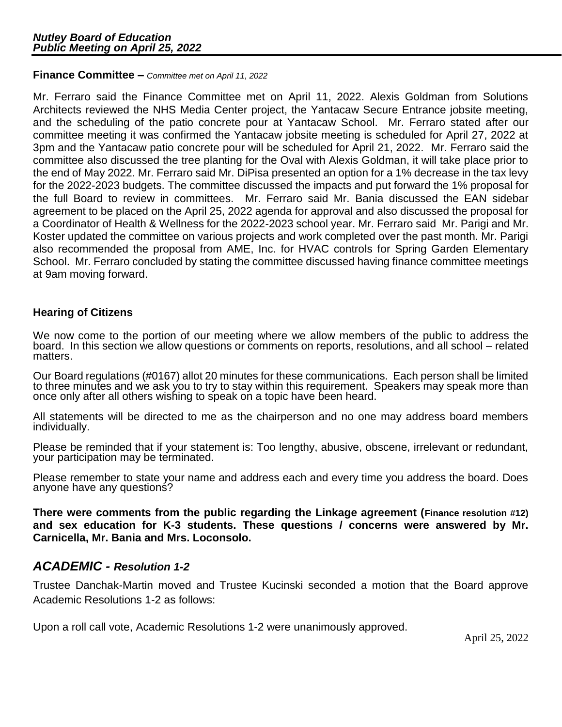#### **Finance Committee –** *Committee met on April 11, 2022*

Mr. Ferraro said the Finance Committee met on April 11, 2022. Alexis Goldman from Solutions Architects reviewed the NHS Media Center project, the Yantacaw Secure Entrance jobsite meeting, and the scheduling of the patio concrete pour at Yantacaw School. Mr. Ferraro stated after our committee meeting it was confirmed the Yantacaw jobsite meeting is scheduled for April 27, 2022 at 3pm and the Yantacaw patio concrete pour will be scheduled for April 21, 2022. Mr. Ferraro said the committee also discussed the tree planting for the Oval with Alexis Goldman, it will take place prior to the end of May 2022. Mr. Ferraro said Mr. DiPisa presented an option for a 1% decrease in the tax levy for the 2022-2023 budgets. The committee discussed the impacts and put forward the 1% proposal for the full Board to review in committees. Mr. Ferraro said Mr. Bania discussed the EAN sidebar agreement to be placed on the April 25, 2022 agenda for approval and also discussed the proposal for a Coordinator of Health & Wellness for the 2022-2023 school year. Mr. Ferraro said Mr. Parigi and Mr. Koster updated the committee on various projects and work completed over the past month. Mr. Parigi also recommended the proposal from AME, Inc. for HVAC controls for Spring Garden Elementary School. Mr. Ferraro concluded by stating the committee discussed having finance committee meetings at 9am moving forward.

## **Hearing of Citizens**

We now come to the portion of our meeting where we allow members of the public to address the board. In this section we allow questions or comments on reports, resolutions, and all school – related matters.

Our Board regulations (#0167) allot 20 minutes for these communications. Each person shall be limited to three minutes and we ask you to try to stay within this requirement. Speakers may speak more than once only after all others wishing to speak on a topic have been heard.

All statements will be directed to me as the chairperson and no one may address board members individually.

Please be reminded that if your statement is: Too lengthy, abusive, obscene, irrelevant or redundant, your participation may be terminated.

Please remember to state your name and address each and every time you address the board. Does anyone have any questions?

**There were comments from the public regarding the Linkage agreement (Finance resolution #12) and sex education for K-3 students. These questions / concerns were answered by Mr. Carnicella, Mr. Bania and Mrs. Loconsolo.**

## *ACADEMIC - Resolution 1-2*

Trustee Danchak-Martin moved and Trustee Kucinski seconded a motion that the Board approve Academic Resolutions 1-2 as follows:

Upon a roll call vote, Academic Resolutions 1-2 were unanimously approved.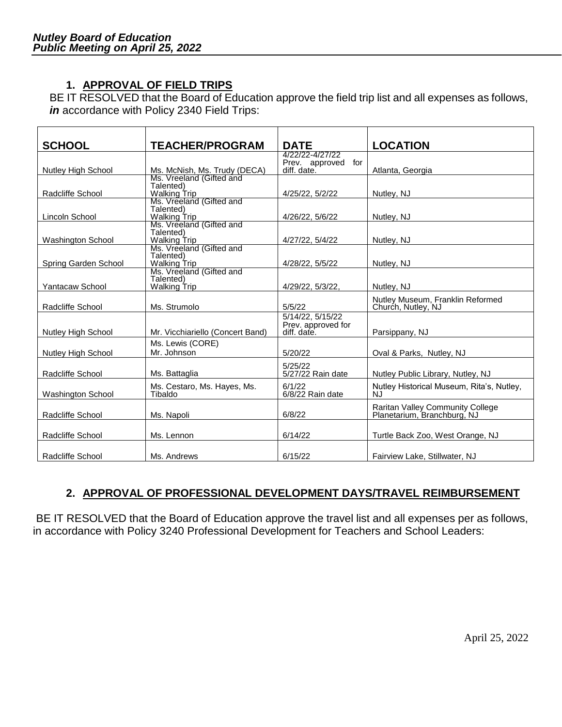# **1. APPROVAL OF FIELD TRIPS**

BE IT RESOLVED that the Board of Education approve the field trip list and all expenses as follows, *in* accordance with Policy 2340 Field Trips:

| <b>SCHOOL</b>             | <b>TEACHER/PROGRAM</b>           | <b>DATE</b>                              | <b>LOCATION</b>                                                 |
|---------------------------|----------------------------------|------------------------------------------|-----------------------------------------------------------------|
|                           |                                  | 4/22/22-4/27/22<br>for<br>Prev. approved |                                                                 |
| <b>Nutley High School</b> | Ms. McNish, Ms. Trudy (DECA)     | diff. date.                              | Atlanta, Georgia                                                |
|                           | Ms. Vreeland (Gifted and         |                                          |                                                                 |
| Radcliffe School          | Talented)<br><b>Walking Trip</b> | 4/25/22, 5/2/22                          | Nutley, NJ                                                      |
|                           | Ms. Vreeland (Gifted and         |                                          |                                                                 |
| Lincoln School            | Talented)<br><b>Walking Trip</b> | 4/26/22, 5/6/22                          | Nutley, NJ                                                      |
|                           | Ms. Vreeland (Gifted and         |                                          |                                                                 |
| Washington School         | Talented)<br><b>Walking Trip</b> | 4/27/22, 5/4/22                          | Nutley, NJ                                                      |
|                           | Ms. Vreeland (Gifted and         |                                          |                                                                 |
| Spring Garden School      | Talented)<br><b>Walking Trip</b> | 4/28/22, 5/5/22                          | Nutley, NJ                                                      |
|                           | Ms. Vreeland (Gifted and         |                                          |                                                                 |
| Yantacaw School           | Talented)<br><b>Walking Trip</b> | 4/29/22, 5/3/22,                         | Nutley, NJ                                                      |
|                           |                                  |                                          | Nutley Museum, Franklin Reformed                                |
| Radcliffe School          | Ms. Strumolo                     | 5/5/22                                   | Church, Nutley, NJ                                              |
|                           |                                  | 5/14/22.5/15/22                          |                                                                 |
| <b>Nutley High School</b> | Mr. Vicchiariello (Concert Band) | Prev. approved for<br>diff. date.        | Parsippany, NJ                                                  |
|                           | Ms. Lewis (CORE)                 |                                          |                                                                 |
| <b>Nutley High School</b> | Mr. Johnson                      | 5/20/22                                  | Oval & Parks, Nutley, NJ                                        |
|                           |                                  | 5/25/22                                  |                                                                 |
| Radcliffe School          | Ms. Battaglia                    | 5/27/22 Rain date                        | Nutley Public Library, Nutley, NJ                               |
|                           | Ms. Cestaro, Ms. Hayes, Ms.      | 6/1/22                                   | Nutley Historical Museum, Rita's, Nutley,                       |
| Washington School         | Tibaldo                          | 6/8/22 Rain date                         | NJ.                                                             |
| Radcliffe School          | Ms. Napoli                       | 6/8/22                                   | Raritan Valley Community College<br>Planetarium, Branchburg, NJ |
|                           |                                  | 6/14/22                                  |                                                                 |
| Radcliffe School          | Ms. Lennon                       |                                          | Turtle Back Zoo, West Orange, NJ                                |
| Radcliffe School          | Ms. Andrews                      | 6/15/22                                  | Fairview Lake, Stillwater, NJ                                   |

## **2. APPROVAL OF PROFESSIONAL DEVELOPMENT DAYS/TRAVEL REIMBURSEMENT**

BE IT RESOLVED that the Board of Education approve the travel list and all expenses per as follows, in accordance with Policy 3240 Professional Development for Teachers and School Leaders: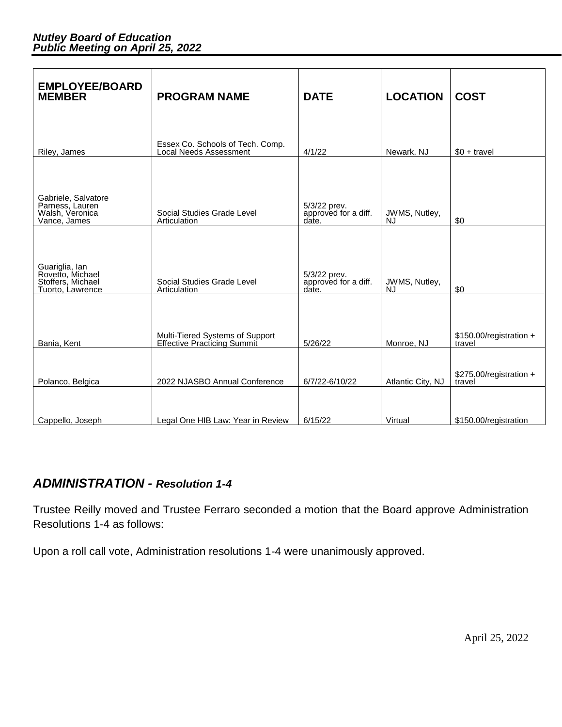| <b>EMPLOYEE/BOARD</b><br><b>MEMBER</b>                                      | <b>PROGRAM NAME</b>                                            | <b>DATE</b>                                   | <b>LOCATION</b>     | <b>COST</b>                       |
|-----------------------------------------------------------------------------|----------------------------------------------------------------|-----------------------------------------------|---------------------|-----------------------------------|
|                                                                             |                                                                |                                               |                     |                                   |
| Riley, James                                                                | Essex Co. Schools of Tech. Comp.<br>Local Needs Assessment     | 4/1/22                                        | Newark, NJ          | $$0 + travel$                     |
|                                                                             |                                                                |                                               |                     |                                   |
| Gabriele, Salvatore<br>Parness, Lauren<br>Walsh, Veronica<br>Vance, James   | Social Studies Grade Level<br>Articulation                     | 5/3/22 prev.<br>approved for a diff.<br>date. | JWMS, Nutley,<br>NJ | \$0                               |
|                                                                             |                                                                |                                               |                     |                                   |
| Guariglia, Ian<br>Rovetto, Michael<br>Stoffers, Michael<br>Tuorto, Lawrence | Social Studies Grade Level<br>Articulation                     | 5/3/22 prev.<br>approved for a diff.<br>date. | JWMS, Nutley,<br>NJ | \$0                               |
|                                                                             |                                                                |                                               |                     |                                   |
| Bania, Kent                                                                 | Multi-Tiered Systems of Support<br>Effective Practicing Summit | 5/26/22                                       | Monroe, NJ          | \$150.00/registration +<br>travel |
| Polanco, Belgica                                                            | 2022 NJASBO Annual Conference                                  | 6/7/22-6/10/22                                | Atlantic City, NJ   | \$275.00/registration +<br>travel |
|                                                                             |                                                                |                                               |                     |                                   |
| Cappello, Joseph                                                            | Legal One HIB Law: Year in Review                              | 6/15/22                                       | Virtual             | \$150.00/registration             |

# *ADMINISTRATION - Resolution 1-4*

Trustee Reilly moved and Trustee Ferraro seconded a motion that the Board approve Administration Resolutions 1-4 as follows:

Upon a roll call vote, Administration resolutions 1-4 were unanimously approved.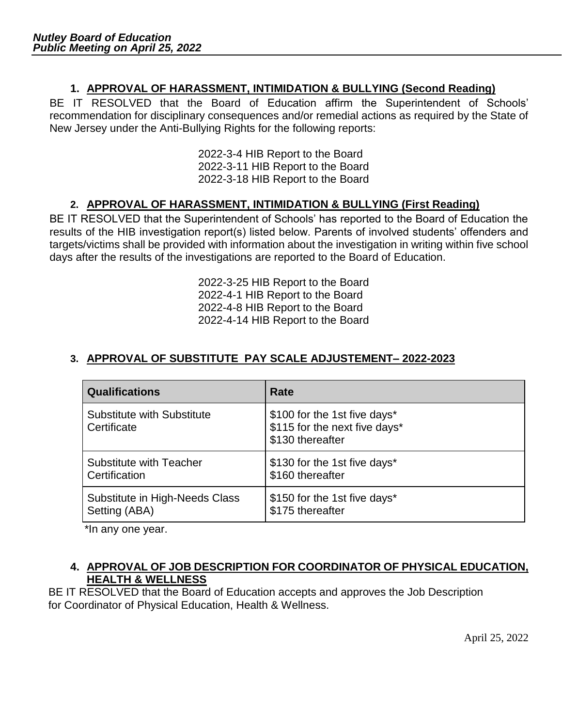# **1. APPROVAL OF HARASSMENT, INTIMIDATION & BULLYING (Second Reading)**

BE IT RESOLVED that the Board of Education affirm the Superintendent of Schools' recommendation for disciplinary consequences and/or remedial actions as required by the State of New Jersey under the Anti-Bullying Rights for the following reports:

> 2022-3-4 HIB Report to the Board 2022-3-11 HIB Report to the Board 2022-3-18 HIB Report to the Board

## **2. APPROVAL OF HARASSMENT, INTIMIDATION & BULLYING (First Reading)**

BE IT RESOLVED that the Superintendent of Schools' has reported to the Board of Education the results of the HIB investigation report(s) listed below. Parents of involved students' offenders and targets/victims shall be provided with information about the investigation in writing within five school days after the results of the investigations are reported to the Board of Education.

> 2022-3-25 HIB Report to the Board 2022-4-1 HIB Report to the Board 2022-4-8 HIB Report to the Board 2022-4-14 HIB Report to the Board

## **3. APPROVAL OF SUBSTITUTE PAY SCALE ADJUSTEMENT– 2022-2023**

| <b>Qualifications</b>                            | Rate                                                                              |
|--------------------------------------------------|-----------------------------------------------------------------------------------|
| <b>Substitute with Substitute</b><br>Certificate | \$100 for the 1st five days*<br>\$115 for the next five days*<br>\$130 thereafter |
| <b>Substitute with Teacher</b>                   | \$130 for the 1st five days*                                                      |
| Certification                                    | \$160 thereafter                                                                  |
| Substitute in High-Needs Class                   | \$150 for the 1st five days*                                                      |
| Setting (ABA)                                    | \$175 thereafter                                                                  |

\*In any one year.

## **4. APPROVAL OF JOB DESCRIPTION FOR COORDINATOR OF PHYSICAL EDUCATION, HEALTH & WELLNESS**

 BE IT RESOLVED that the Board of Education accepts and approves the Job Description for Coordinator of Physical Education, Health & Wellness.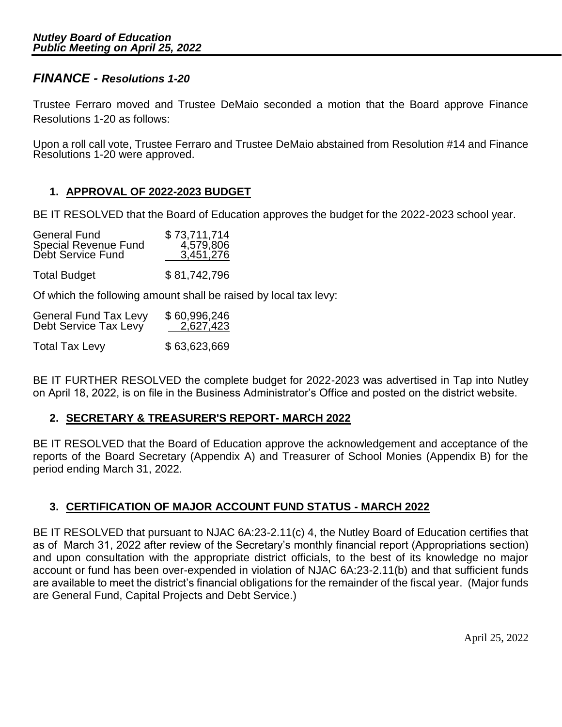## *FINANCE - Resolutions 1-20*

Trustee Ferraro moved and Trustee DeMaio seconded a motion that the Board approve Finance Resolutions 1-20 as follows:

Upon a roll call vote, Trustee Ferraro and Trustee DeMaio abstained from Resolution #14 and Finance Resolutions 1-20 were approved.

## **1. APPROVAL OF 2022-2023 BUDGET**

BE IT RESOLVED that the Board of Education approves the budget for the 2022-2023 school year.

| <b>General Fund</b>         | \$73,711,714 |
|-----------------------------|--------------|
| <b>Special Revenue Fund</b> | 4,579,806    |
| Debt Service Fund           | 3,451,276    |
| <b>Total Budget</b>         | \$81,742,796 |

Of which the following amount shall be raised by local tax levy:

| <b>General Fund Tax Levy</b> | \$60,996,246 |
|------------------------------|--------------|
| Debt Service Tax Levy        | 2,627,423    |
| <b>Total Tax Levy</b>        | \$63,623,669 |

BE IT FURTHER RESOLVED the complete budget for 2022-2023 was advertised in Tap into Nutley on April 18, 2022, is on file in the Business Administrator's Office and posted on the district website.

## **2. SECRETARY & TREASURER'S REPORT- MARCH 2022**

BE IT RESOLVED that the Board of Education approve the acknowledgement and acceptance of the reports of the Board Secretary (Appendix A) and Treasurer of School Monies (Appendix B) for the period ending March 31, 2022.

## **3. CERTIFICATION OF MAJOR ACCOUNT FUND STATUS - MARCH 2022**

BE IT RESOLVED that pursuant to NJAC 6A:23-2.11(c) 4, the Nutley Board of Education certifies that as of March 31, 2022 after review of the Secretary's monthly financial report (Appropriations section) and upon consultation with the appropriate district officials, to the best of its knowledge no major account or fund has been over-expended in violation of NJAC 6A:23-2.11(b) and that sufficient funds are available to meet the district's financial obligations for the remainder of the fiscal year. (Major funds are General Fund, Capital Projects and Debt Service.)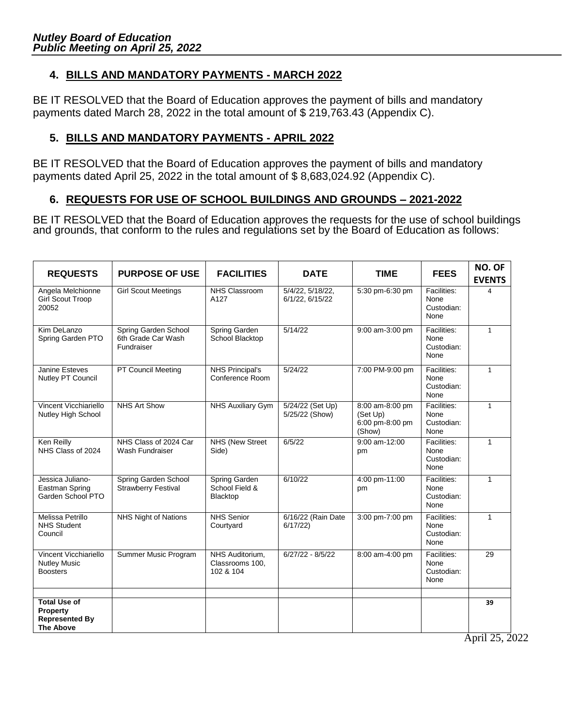# **4. BILLS AND MANDATORY PAYMENTS - MARCH 2022**

BE IT RESOLVED that the Board of Education approves the payment of bills and mandatory payments dated March 28, 2022 in the total amount of \$ 219,763.43 (Appendix C).

## **5. BILLS AND MANDATORY PAYMENTS - APRIL 2022**

BE IT RESOLVED that the Board of Education approves the payment of bills and mandatory payments dated April 25, 2022 in the total amount of \$ 8,683,024.92 (Appendix C).

## **6. REQUESTS FOR USE OF SCHOOL BUILDINGS AND GROUNDS – 2021-2022**

BE IT RESOLVED that the Board of Education approves the requests for the use of school buildings and grounds, that conform to the rules and regulations set by the Board of Education as follows:

| <b>REQUESTS</b>                                                              | <b>PURPOSE OF USE</b>                                    | <b>FACILITIES</b>                               | <b>DATE</b>                                | <b>TIME</b>                                              | <b>FEES</b>                               | NO. OF<br><b>EVENTS</b> |
|------------------------------------------------------------------------------|----------------------------------------------------------|-------------------------------------------------|--------------------------------------------|----------------------------------------------------------|-------------------------------------------|-------------------------|
| Angela Melchionne<br><b>Girl Scout Troop</b><br>20052                        | <b>Girl Scout Meetings</b>                               | <b>NHS Classroom</b><br>A127                    | 5/4/22, 5/18/22,<br>6/1/22, 6/15/22        | 5:30 pm-6:30 pm                                          | Facilities:<br>None<br>Custodian:<br>None | $\overline{a}$          |
| Kim DeLanzo<br>Spring Garden PTO                                             | Spring Garden School<br>6th Grade Car Wash<br>Fundraiser | Spring Garden<br>School Blacktop                | $\frac{1}{5}/14/22$                        | 9:00 am-3:00 pm                                          | Facilities:<br>None<br>Custodian:<br>None | $\mathbf{1}$            |
| <b>Janine Esteves</b><br>Nutley PT Council                                   | <b>PT Council Meeting</b>                                | <b>NHS Principal's</b><br>Conference Room       | 5/24/22<br>7:00 PM-9:00 pm<br>None<br>None |                                                          | Facilities:<br>Custodian:                 | $\mathbf{1}$            |
| Vincent Vicchiariello<br>Nutley High School                                  | <b>NHS Art Show</b>                                      | <b>NHS Auxiliary Gym</b>                        | 5/24/22 (Set Up)<br>5/25/22 (Show)         | 8:00 am-8:00 pm<br>(Set Up)<br>6:00 pm-8:00 pm<br>(Show) | Facilities:<br>None<br>Custodian:<br>None | $\mathbf{1}$            |
| Ken Reilly<br>NHS Class of 2024                                              | NHS Class of 2024 Car<br>Wash Fundraiser                 | NHS (New Street<br>Side)                        | 6/5/22                                     | 9:00 am-12:00<br>pm                                      | Facilities:<br>None<br>Custodian:<br>None | $\mathbf{1}$            |
| Jessica Juliano-<br>Eastman Spring<br>Garden School PTO                      | Spring Garden School<br><b>Strawberry Festival</b>       | Spring Garden<br>School Field &<br>Blacktop     | 6/10/22                                    | 4:00 pm-11:00<br>pm                                      | Facilities:<br>None<br>Custodian:<br>None | $\mathbf{1}$            |
| Melissa Petrillo<br><b>NHS Student</b><br>Council                            | <b>NHS Night of Nations</b>                              | <b>NHS Senior</b><br>Courtyard                  | 6/16/22 (Rain Date<br>6/17/22              | 3:00 pm-7:00 pm                                          | Facilities:<br>None<br>Custodian:<br>None | $\mathbf{1}$            |
| Vincent Vicchiariello<br><b>Nutley Music</b><br><b>Boosters</b>              | Summer Music Program                                     | NHS Auditorium.<br>Classrooms 100,<br>102 & 104 | $6/27/22 - 8/5/22$                         | 8:00 am-4:00 pm                                          | Facilities:<br>None<br>Custodian:<br>None | 29                      |
| <b>Total Use of</b><br>Property<br><b>Represented By</b><br><b>The Above</b> |                                                          |                                                 |                                            |                                                          |                                           | 39                      |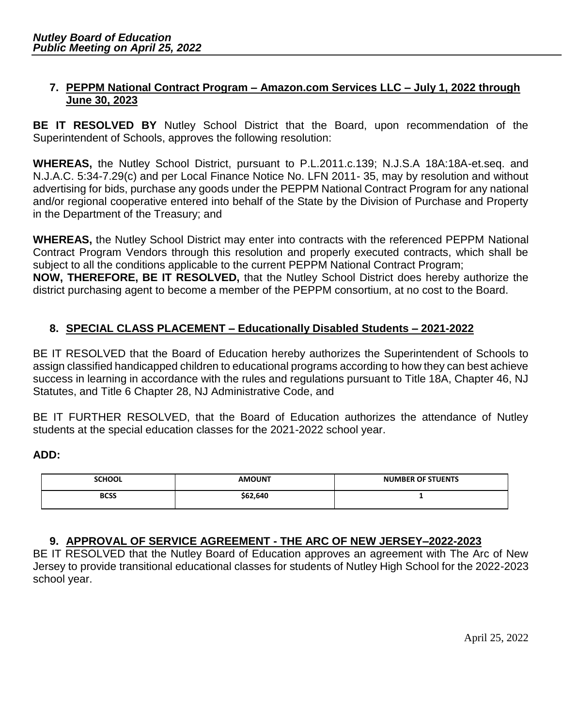## **7. PEPPM National Contract Program – Amazon.com Services LLC – July 1, 2022 through June 30, 2023**

**BE IT RESOLVED BY** Nutley School District that the Board, upon recommendation of the Superintendent of Schools, approves the following resolution:

**WHEREAS,** the Nutley School District, pursuant to P.L.2011.c.139; N.J.S.A 18A:18A-et.seq. and N.J.A.C. 5:34-7.29(c) and per Local Finance Notice No. LFN 2011- 35, may by resolution and without advertising for bids, purchase any goods under the PEPPM National Contract Program for any national and/or regional cooperative entered into behalf of the State by the Division of Purchase and Property in the Department of the Treasury; and

**WHEREAS,** the Nutley School District may enter into contracts with the referenced PEPPM National Contract Program Vendors through this resolution and properly executed contracts, which shall be subject to all the conditions applicable to the current PEPPM National Contract Program; **NOW, THEREFORE, BE IT RESOLVED,** that the Nutley School District does hereby authorize the district purchasing agent to become a member of the PEPPM consortium, at no cost to the Board.

## **8. SPECIAL CLASS PLACEMENT – Educationally Disabled Students – 2021-2022**

BE IT RESOLVED that the Board of Education hereby authorizes the Superintendent of Schools to assign classified handicapped children to educational programs according to how they can best achieve success in learning in accordance with the rules and regulations pursuant to Title 18A, Chapter 46, NJ Statutes, and Title 6 Chapter 28, NJ Administrative Code, and

BE IT FURTHER RESOLVED, that the Board of Education authorizes the attendance of Nutley students at the special education classes for the 2021-2022 school year.

## **ADD:**

| <b>SCHOOL</b> | <b>AMOUNT</b> | <b>NUMBER OF STUENTS</b> |
|---------------|---------------|--------------------------|
| <b>BCSS</b>   | \$62,640      |                          |

## **9. APPROVAL OF SERVICE AGREEMENT - THE ARC OF NEW JERSEY–2022-2023**

BE IT RESOLVED that the Nutley Board of Education approves an agreement with The Arc of New Jersey to provide transitional educational classes for students of Nutley High School for the 2022-2023 school year.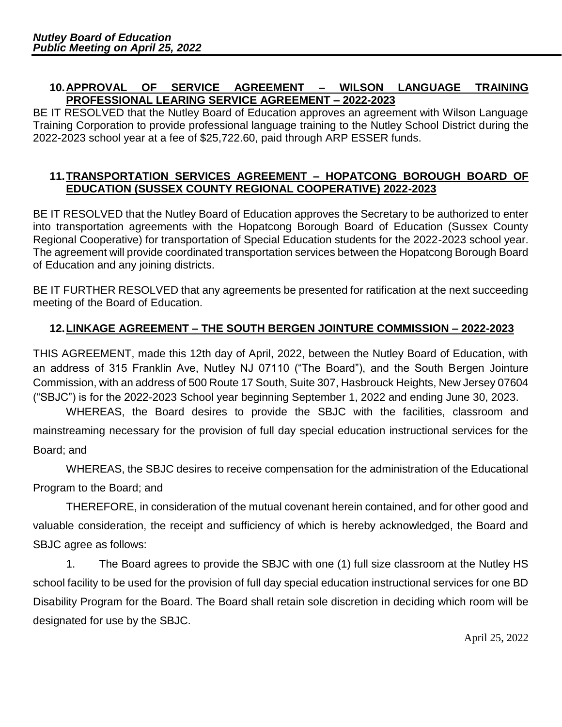## **10.APPROVAL OF SERVICE AGREEMENT – WILSON LANGUAGE TRAINING PROFESSIONAL LEARING SERVICE AGREEMENT – 2022-2023**

BE IT RESOLVED that the Nutley Board of Education approves an agreement with Wilson Language Training Corporation to provide professional language training to the Nutley School District during the 2022-2023 school year at a fee of \$25,722.60, paid through ARP ESSER funds.

# **11.TRANSPORTATION SERVICES AGREEMENT – HOPATCONG BOROUGH BOARD OF EDUCATION (SUSSEX COUNTY REGIONAL COOPERATIVE) 2022-2023**

BE IT RESOLVED that the Nutley Board of Education approves the Secretary to be authorized to enter into transportation agreements with the Hopatcong Borough Board of Education (Sussex County Regional Cooperative) for transportation of Special Education students for the 2022-2023 school year. The agreement will provide coordinated transportation services between the Hopatcong Borough Board of Education and any joining districts.

BE IT FURTHER RESOLVED that any agreements be presented for ratification at the next succeeding meeting of the Board of Education.

# **12.LINKAGE AGREEMENT – THE SOUTH BERGEN JOINTURE COMMISSION – 2022-2023**

THIS AGREEMENT, made this 12th day of April, 2022, between the Nutley Board of Education, with an address of 315 Franklin Ave, Nutley NJ 07110 ("The Board"), and the South Bergen Jointure Commission, with an address of 500 Route 17 South, Suite 307, Hasbrouck Heights, New Jersey 07604 ("SBJC") is for the 2022-2023 School year beginning September 1, 2022 and ending June 30, 2023.

WHEREAS, the Board desires to provide the SBJC with the facilities, classroom and mainstreaming necessary for the provision of full day special education instructional services for the Board; and

WHEREAS, the SBJC desires to receive compensation for the administration of the Educational Program to the Board; and

THEREFORE, in consideration of the mutual covenant herein contained, and for other good and valuable consideration, the receipt and sufficiency of which is hereby acknowledged, the Board and SBJC agree as follows:

1. The Board agrees to provide the SBJC with one (1) full size classroom at the Nutley HS school facility to be used for the provision of full day special education instructional services for one BD Disability Program for the Board. The Board shall retain sole discretion in deciding which room will be designated for use by the SBJC.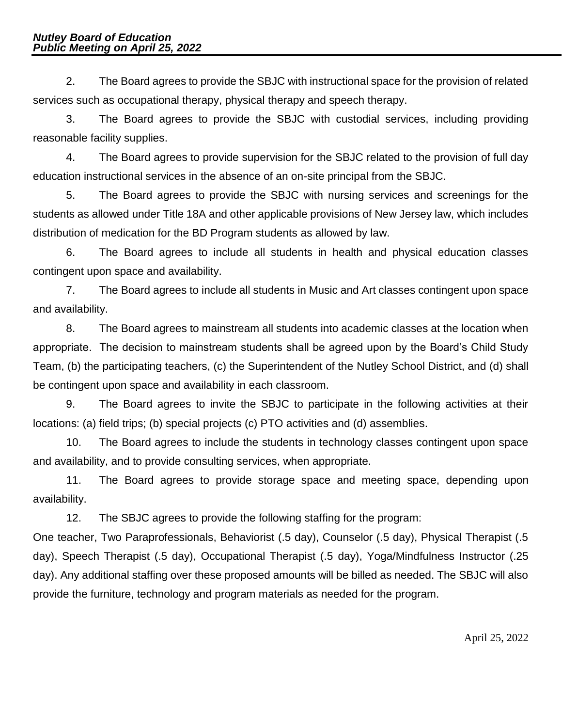2. The Board agrees to provide the SBJC with instructional space for the provision of related services such as occupational therapy, physical therapy and speech therapy.

3. The Board agrees to provide the SBJC with custodial services, including providing reasonable facility supplies.

4. The Board agrees to provide supervision for the SBJC related to the provision of full day education instructional services in the absence of an on-site principal from the SBJC.

5. The Board agrees to provide the SBJC with nursing services and screenings for the students as allowed under Title 18A and other applicable provisions of New Jersey law, which includes distribution of medication for the BD Program students as allowed by law.

6. The Board agrees to include all students in health and physical education classes contingent upon space and availability.

7. The Board agrees to include all students in Music and Art classes contingent upon space and availability.

8. The Board agrees to mainstream all students into academic classes at the location when appropriate. The decision to mainstream students shall be agreed upon by the Board's Child Study Team, (b) the participating teachers, (c) the Superintendent of the Nutley School District, and (d) shall be contingent upon space and availability in each classroom.

9. The Board agrees to invite the SBJC to participate in the following activities at their locations: (a) field trips; (b) special projects (c) PTO activities and (d) assemblies.

10. The Board agrees to include the students in technology classes contingent upon space and availability, and to provide consulting services, when appropriate.

11. The Board agrees to provide storage space and meeting space, depending upon availability.

12. The SBJC agrees to provide the following staffing for the program:

One teacher, Two Paraprofessionals, Behaviorist (.5 day), Counselor (.5 day), Physical Therapist (.5 day), Speech Therapist (.5 day), Occupational Therapist (.5 day), Yoga/Mindfulness Instructor (.25 day). Any additional staffing over these proposed amounts will be billed as needed. The SBJC will also provide the furniture, technology and program materials as needed for the program.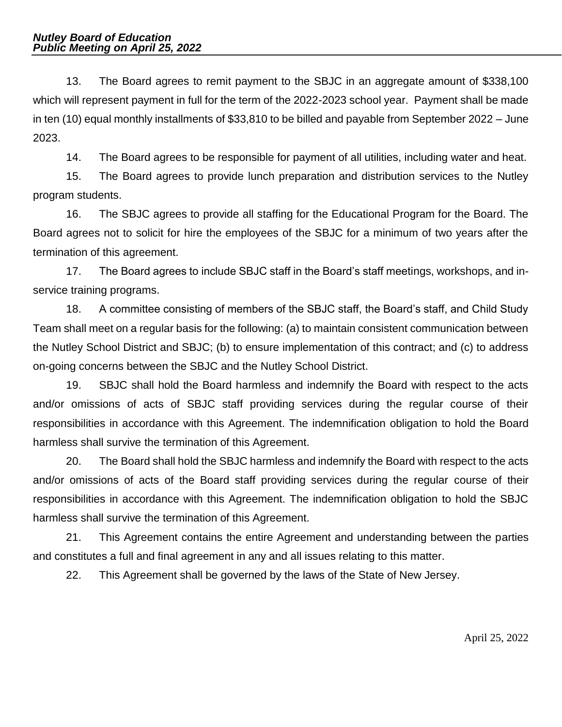13. The Board agrees to remit payment to the SBJC in an aggregate amount of \$338,100 which will represent payment in full for the term of the 2022-2023 school year. Payment shall be made in ten (10) equal monthly installments of \$33,810 to be billed and payable from September 2022 – June 2023.

14. The Board agrees to be responsible for payment of all utilities, including water and heat.

15. The Board agrees to provide lunch preparation and distribution services to the Nutley program students.

16. The SBJC agrees to provide all staffing for the Educational Program for the Board. The Board agrees not to solicit for hire the employees of the SBJC for a minimum of two years after the termination of this agreement.

17. The Board agrees to include SBJC staff in the Board's staff meetings, workshops, and inservice training programs.

18. A committee consisting of members of the SBJC staff, the Board's staff, and Child Study Team shall meet on a regular basis for the following: (a) to maintain consistent communication between the Nutley School District and SBJC; (b) to ensure implementation of this contract; and (c) to address on-going concerns between the SBJC and the Nutley School District.

19. SBJC shall hold the Board harmless and indemnify the Board with respect to the acts and/or omissions of acts of SBJC staff providing services during the regular course of their responsibilities in accordance with this Agreement. The indemnification obligation to hold the Board harmless shall survive the termination of this Agreement.

20. The Board shall hold the SBJC harmless and indemnify the Board with respect to the acts and/or omissions of acts of the Board staff providing services during the regular course of their responsibilities in accordance with this Agreement. The indemnification obligation to hold the SBJC harmless shall survive the termination of this Agreement.

21. This Agreement contains the entire Agreement and understanding between the parties and constitutes a full and final agreement in any and all issues relating to this matter.

22. This Agreement shall be governed by the laws of the State of New Jersey.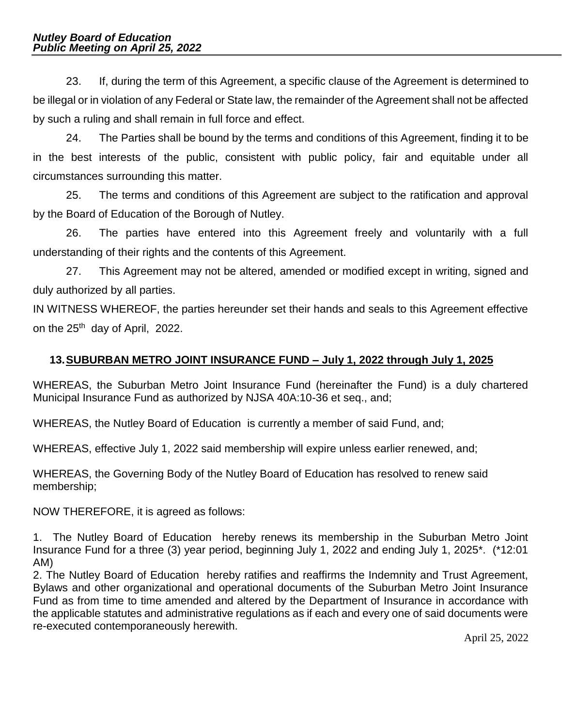23. If, during the term of this Agreement, a specific clause of the Agreement is determined to be illegal or in violation of any Federal or State law, the remainder of the Agreement shall not be affected by such a ruling and shall remain in full force and effect.

24. The Parties shall be bound by the terms and conditions of this Agreement, finding it to be in the best interests of the public, consistent with public policy, fair and equitable under all circumstances surrounding this matter.

25. The terms and conditions of this Agreement are subject to the ratification and approval by the Board of Education of the Borough of Nutley.

26. The parties have entered into this Agreement freely and voluntarily with a full understanding of their rights and the contents of this Agreement.

27. This Agreement may not be altered, amended or modified except in writing, signed and duly authorized by all parties.

IN WITNESS WHEREOF, the parties hereunder set their hands and seals to this Agreement effective on the 25<sup>th</sup> day of April, 2022.

# **13.SUBURBAN METRO JOINT INSURANCE FUND – July 1, 2022 through July 1, 2025**

WHEREAS, the Suburban Metro Joint Insurance Fund (hereinafter the Fund) is a duly chartered Municipal Insurance Fund as authorized by NJSA 40A:10-36 et seq., and;

WHEREAS, the Nutley Board of Education is currently a member of said Fund, and;

WHEREAS, effective July 1, 2022 said membership will expire unless earlier renewed, and;

WHEREAS, the Governing Body of the Nutley Board of Education has resolved to renew said membership;

NOW THEREFORE, it is agreed as follows:

1. The Nutley Board of Education hereby renews its membership in the Suburban Metro Joint Insurance Fund for a three (3) year period, beginning July 1, 2022 and ending July 1, 2025\*. (\*12:01 AM)

2. The Nutley Board of Education hereby ratifies and reaffirms the Indemnity and Trust Agreement, Bylaws and other organizational and operational documents of the Suburban Metro Joint Insurance Fund as from time to time amended and altered by the Department of Insurance in accordance with the applicable statutes and administrative regulations as if each and every one of said documents were re-executed contemporaneously herewith.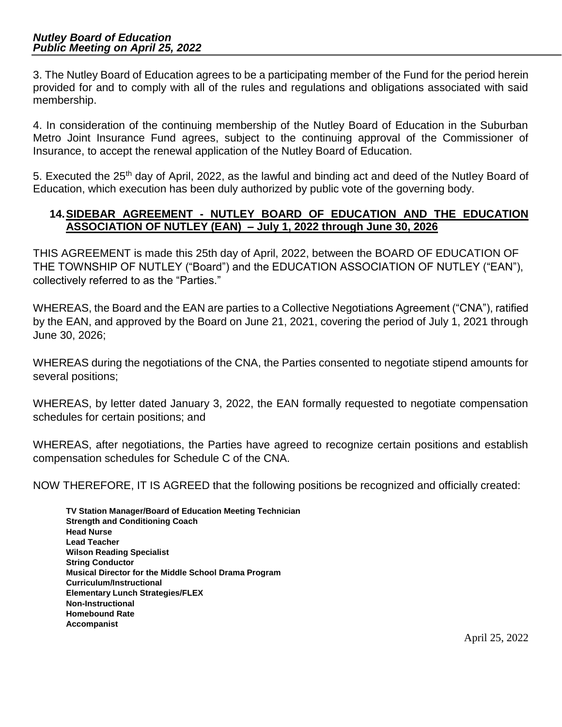3. The Nutley Board of Education agrees to be a participating member of the Fund for the period herein provided for and to comply with all of the rules and regulations and obligations associated with said membership.

4. In consideration of the continuing membership of the Nutley Board of Education in the Suburban Metro Joint Insurance Fund agrees, subject to the continuing approval of the Commissioner of Insurance, to accept the renewal application of the Nutley Board of Education.

5. Executed the 25th day of April, 2022, as the lawful and binding act and deed of the Nutley Board of Education, which execution has been duly authorized by public vote of the governing body.

## **14.SIDEBAR AGREEMENT - NUTLEY BOARD OF EDUCATION AND THE EDUCATION ASSOCIATION OF NUTLEY (EAN) – July 1, 2022 through June 30, 2026**

THIS AGREEMENT is made this 25th day of April, 2022, between the BOARD OF EDUCATION OF THE TOWNSHIP OF NUTLEY ("Board") and the EDUCATION ASSOCIATION OF NUTLEY ("EAN"), collectively referred to as the "Parties."

WHEREAS, the Board and the EAN are parties to a Collective Negotiations Agreement ("CNA"), ratified by the EAN, and approved by the Board on June 21, 2021, covering the period of July 1, 2021 through June 30, 2026;

WHEREAS during the negotiations of the CNA, the Parties consented to negotiate stipend amounts for several positions;

WHEREAS, by letter dated January 3, 2022, the EAN formally requested to negotiate compensation schedules for certain positions; and

WHEREAS, after negotiations, the Parties have agreed to recognize certain positions and establish compensation schedules for Schedule C of the CNA.

NOW THEREFORE, IT IS AGREED that the following positions be recognized and officially created:

**TV Station Manager/Board of Education Meeting Technician Strength and Conditioning Coach Head Nurse Lead Teacher Wilson Reading Specialist String Conductor Musical Director for the Middle School Drama Program Curriculum/Instructional Elementary Lunch Strategies/FLEX Non-Instructional Homebound Rate Accompanist**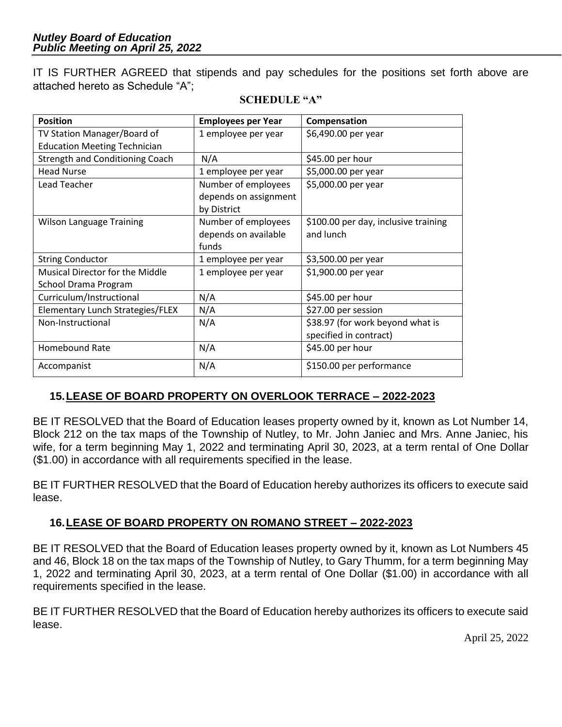IT IS FURTHER AGREED that stipends and pay schedules for the positions set forth above are attached hereto as Schedule "A";

| <b>Position</b>                        | <b>Employees per Year</b> | Compensation                         |
|----------------------------------------|---------------------------|--------------------------------------|
| TV Station Manager/Board of            | 1 employee per year       | \$6,490.00 per year                  |
| <b>Education Meeting Technician</b>    |                           |                                      |
| <b>Strength and Conditioning Coach</b> | N/A                       | \$45.00 per hour                     |
| <b>Head Nurse</b>                      | 1 employee per year       | \$5,000.00 per year                  |
| Lead Teacher                           | Number of employees       | \$5,000.00 per year                  |
|                                        | depends on assignment     |                                      |
|                                        | by District               |                                      |
| <b>Wilson Language Training</b>        | Number of employees       | \$100.00 per day, inclusive training |
|                                        | depends on available      | and lunch                            |
|                                        | funds                     |                                      |
| <b>String Conductor</b>                | 1 employee per year       | \$3,500.00 per year                  |
| Musical Director for the Middle        | 1 employee per year       | \$1,900.00 per year                  |
| School Drama Program                   |                           |                                      |
| Curriculum/Instructional               | N/A                       | \$45.00 per hour                     |
| Elementary Lunch Strategies/FLEX       | N/A                       | \$27.00 per session                  |
| Non-Instructional                      | N/A                       | \$38.97 (for work beyond what is     |
|                                        |                           | specified in contract)               |
| <b>Homebound Rate</b>                  | N/A                       | \$45.00 per hour                     |
| Accompanist                            | N/A                       | \$150.00 per performance             |

#### **SCHEDULE "A"**

# **15.LEASE OF BOARD PROPERTY ON OVERLOOK TERRACE – 2022-2023**

BE IT RESOLVED that the Board of Education leases property owned by it, known as Lot Number 14, Block 212 on the tax maps of the Township of Nutley, to Mr. John Janiec and Mrs. Anne Janiec, his wife, for a term beginning May 1, 2022 and terminating April 30, 2023, at a term rental of One Dollar (\$1.00) in accordance with all requirements specified in the lease.

BE IT FURTHER RESOLVED that the Board of Education hereby authorizes its officers to execute said lease.

## **16.LEASE OF BOARD PROPERTY ON ROMANO STREET – 2022-2023**

BE IT RESOLVED that the Board of Education leases property owned by it, known as Lot Numbers 45 and 46, Block 18 on the tax maps of the Township of Nutley, to Gary Thumm, for a term beginning May 1, 2022 and terminating April 30, 2023, at a term rental of One Dollar (\$1.00) in accordance with all requirements specified in the lease.

BE IT FURTHER RESOLVED that the Board of Education hereby authorizes its officers to execute said lease.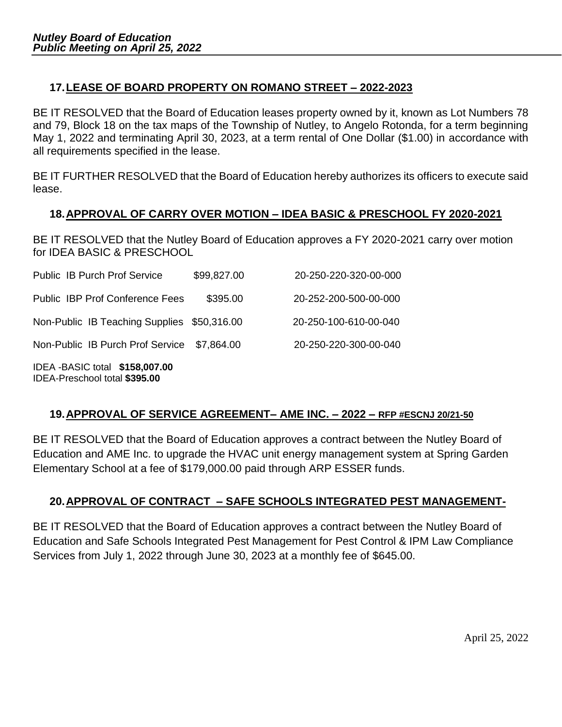# **17.LEASE OF BOARD PROPERTY ON ROMANO STREET – 2022-2023**

BE IT RESOLVED that the Board of Education leases property owned by it, known as Lot Numbers 78 and 79, Block 18 on the tax maps of the Township of Nutley, to Angelo Rotonda, for a term beginning May 1, 2022 and terminating April 30, 2023, at a term rental of One Dollar (\$1.00) in accordance with all requirements specified in the lease.

BE IT FURTHER RESOLVED that the Board of Education hereby authorizes its officers to execute said lease.

## **18.APPROVAL OF CARRY OVER MOTION – IDEA BASIC & PRESCHOOL FY 2020-2021**

BE IT RESOLVED that the Nutley Board of Education approves a FY 2020-2021 carry over motion for IDEA BASIC & PRESCHOOL

| Public IB Purch Prof Service                                   | \$99,827.00 | 20-250-220-320-00-000 |
|----------------------------------------------------------------|-------------|-----------------------|
| Public IBP Prof Conference Fees                                | \$395.00    | 20-252-200-500-00-000 |
| Non-Public IB Teaching Supplies \$50,316.00                    |             | 20-250-100-610-00-040 |
| Non-Public IB Purch Prof Service                               | \$7.864.00  | 20-250-220-300-00-040 |
| IDEA-BASIC total \$158,007.00<br>IDEA-Preschool total \$395.00 |             |                       |

## **19.APPROVAL OF SERVICE AGREEMENT– AME INC. – 2022 – RFP #ESCNJ 20/21-50**

BE IT RESOLVED that the Board of Education approves a contract between the Nutley Board of Education and AME Inc. to upgrade the HVAC unit energy management system at Spring Garden Elementary School at a fee of \$179,000.00 paid through ARP ESSER funds.

# **20.APPROVAL OF CONTRACT – SAFE SCHOOLS INTEGRATED PEST MANAGEMENT-**

BE IT RESOLVED that the Board of Education approves a contract between the Nutley Board of Education and Safe Schools Integrated Pest Management for Pest Control & IPM Law Compliance Services from July 1, 2022 through June 30, 2023 at a monthly fee of \$645.00.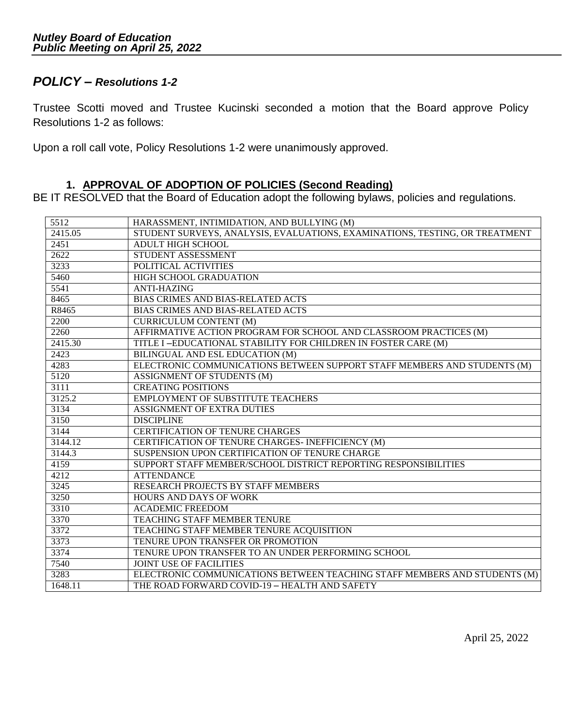# *POLICY – Resolutions 1-2*

Trustee Scotti moved and Trustee Kucinski seconded a motion that the Board approve Policy Resolutions 1-2 as follows:

Upon a roll call vote, Policy Resolutions 1-2 were unanimously approved.

## **1. APPROVAL OF ADOPTION OF POLICIES (Second Reading)**

BE IT RESOLVED that the Board of Education adopt the following bylaws, policies and regulations.

| 5512    | HARASSMENT, INTIMIDATION, AND BULLYING (M)                                  |
|---------|-----------------------------------------------------------------------------|
| 2415.05 | STUDENT SURVEYS, ANALYSIS, EVALUATIONS, EXAMINATIONS, TESTING, OR TREATMENT |
| 2451    | <b>ADULT HIGH SCHOOL</b>                                                    |
| 2622    | STUDENT ASSESSMENT                                                          |
| 3233    | POLITICAL ACTIVITIES                                                        |
| 5460    | <b>HIGH SCHOOL GRADUATION</b>                                               |
| 5541    | <b>ANTI-HAZING</b>                                                          |
| 8465    | <b>BIAS CRIMES AND BIAS-RELATED ACTS</b>                                    |
| R8465   | <b>BIAS CRIMES AND BIAS-RELATED ACTS</b>                                    |
| 2200    | <b>CURRICULUM CONTENT (M)</b>                                               |
| 2260    | AFFIRMATIVE ACTION PROGRAM FOR SCHOOL AND CLASSROOM PRACTICES (M)           |
| 2415.30 | TITLE I-EDUCATIONAL STABILITY FOR CHILDREN IN FOSTER CARE (M)               |
| 2423    | <b>BILINGUAL AND ESL EDUCATION (M)</b>                                      |
| 4283    | ELECTRONIC COMMUNICATIONS BETWEEN SUPPORT STAFF MEMBERS AND STUDENTS (M)    |
| 5120    | ASSIGNMENT OF STUDENTS (M)                                                  |
| 3111    | <b>CREATING POSITIONS</b>                                                   |
| 3125.2  | <b>EMPLOYMENT OF SUBSTITUTE TEACHERS</b>                                    |
| 3134    | <b>ASSIGNMENT OF EXTRA DUTIES</b>                                           |
| 3150    | <b>DISCIPLINE</b>                                                           |
| 3144    | <b>CERTIFICATION OF TENURE CHARGES</b>                                      |
| 3144.12 | CERTIFICATION OF TENURE CHARGES- INEFFICIENCY (M)                           |
| 3144.3  | SUSPENSION UPON CERTIFICATION OF TENURE CHARGE                              |
| 4159    | SUPPORT STAFF MEMBER/SCHOOL DISTRICT REPORTING RESPONSIBILITIES             |
| 4212    | <b>ATTENDANCE</b>                                                           |
| 3245    | <b>RESEARCH PROJECTS BY STAFF MEMBERS</b>                                   |
| 3250    | <b>HOURS AND DAYS OF WORK</b>                                               |
| 3310    | <b>ACADEMIC FREEDOM</b>                                                     |
| 3370    | <b>TEACHING STAFF MEMBER TENURE</b>                                         |
| 3372    | TEACHING STAFF MEMBER TENURE ACQUISITION                                    |
| 3373    | TENURE UPON TRANSFER OR PROMOTION                                           |
| 3374    | TENURE UPON TRANSFER TO AN UNDER PERFORMING SCHOOL                          |
| 7540    | <b>JOINT USE OF FACILITIES</b>                                              |
| 3283    | ELECTRONIC COMMUNICATIONS BETWEEN TEACHING STAFF MEMBERS AND STUDENTS (M)   |
| 1648.11 | THE ROAD FORWARD COVID-19 - HEALTH AND SAFETY                               |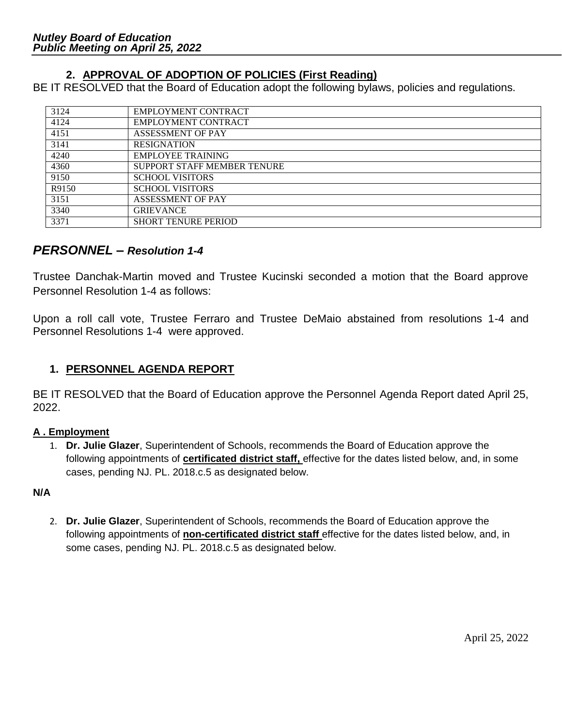# **2. APPROVAL OF ADOPTION OF POLICIES (First Reading)**

BE IT RESOLVED that the Board of Education adopt the following bylaws, policies and regulations.

| 3124  | <b>EMPLOYMENT CONTRACT</b>         |
|-------|------------------------------------|
| 4124  | <b>EMPLOYMENT CONTRACT</b>         |
| 4151  | <b>ASSESSMENT OF PAY</b>           |
| 3141  | <b>RESIGNATION</b>                 |
| 4240  | <b>EMPLOYEE TRAINING</b>           |
| 4360  | <b>SUPPORT STAFF MEMBER TENURE</b> |
| 9150  | <b>SCHOOL VISITORS</b>             |
| R9150 | <b>SCHOOL VISITORS</b>             |
| 3151  | <b>ASSESSMENT OF PAY</b>           |
| 3340  | <b>GRIEVANCE</b>                   |
| 3371  | <b>SHORT TENURE PERIOD</b>         |

## *PERSONNEL – Resolution 1-4*

Trustee Danchak-Martin moved and Trustee Kucinski seconded a motion that the Board approve Personnel Resolution 1-4 as follows:

Upon a roll call vote, Trustee Ferraro and Trustee DeMaio abstained from resolutions 1-4 and Personnel Resolutions 1-4 were approved.

## **1. PERSONNEL AGENDA REPORT**

BE IT RESOLVED that the Board of Education approve the Personnel Agenda Report dated April 25, 2022.

## **A . Employment**

1. **Dr. Julie Glazer**, Superintendent of Schools, recommends the Board of Education approve the following appointments of **certificated district staff,** effective for the dates listed below, and, in some cases, pending NJ. PL. 2018.c.5 as designated below.

## **N/A**

2. **Dr. Julie Glazer**, Superintendent of Schools, recommends the Board of Education approve the following appointments of **non-certificated district staff** effective for the dates listed below, and, in some cases, pending NJ. PL. 2018.c.5 as designated below.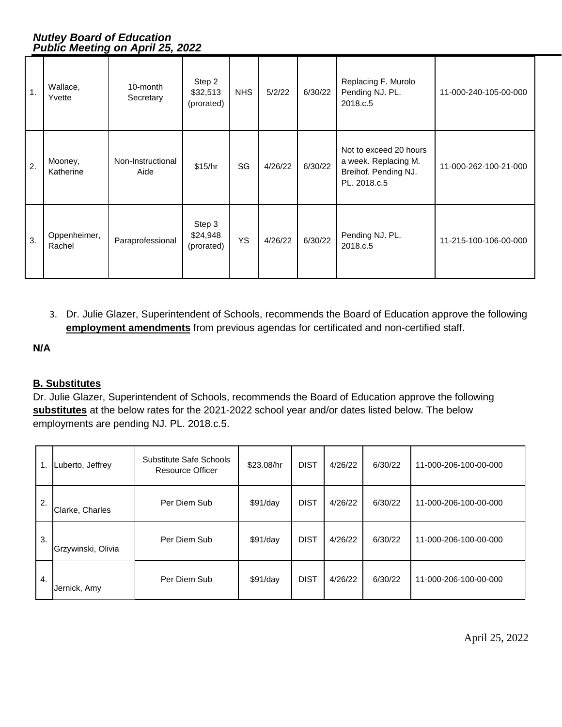| 1. | Wallace,<br>Yvette     | 10-month<br>Secretary     | Step 2<br>\$32,513<br>(prorated) | <b>NHS</b> | 5/2/22  | 6/30/22 | Replacing F. Murolo<br>Pending NJ. PL.<br>2018.c.5                                     | 11-000-240-105-00-000 |
|----|------------------------|---------------------------|----------------------------------|------------|---------|---------|----------------------------------------------------------------------------------------|-----------------------|
| 2. | Mooney,<br>Katherine   | Non-Instructional<br>Aide | \$15/hr                          | SG         | 4/26/22 | 6/30/22 | Not to exceed 20 hours<br>a week. Replacing M.<br>Breihof. Pending NJ.<br>PL. 2018.c.5 | 11-000-262-100-21-000 |
| 3. | Oppenheimer,<br>Rachel | Paraprofessional          | Step 3<br>\$24,948<br>(prorated) | <b>YS</b>  | 4/26/22 | 6/30/22 | Pending NJ. PL.<br>2018.c.5                                                            | 11-215-100-106-00-000 |

3. Dr. Julie Glazer, Superintendent of Schools, recommends the Board of Education approve the following **employment amendments** from previous agendas for certificated and non-certified staff.

#### **N/A**

## **B. Substitutes**

Dr. Julie Glazer, Superintendent of Schools, recommends the Board of Education approve the following **substitutes** at the below rates for the 2021-2022 school year and/or dates listed below. The below employments are pending NJ. PL. 2018.c.5.

|    | Luberto, Jeffrey   | Substitute Safe Schools<br>Resource Officer | \$23.08/hr | <b>DIST</b> | 4/26/22 | 6/30/22 | 11-000-206-100-00-000 |
|----|--------------------|---------------------------------------------|------------|-------------|---------|---------|-----------------------|
| 2. | Clarke, Charles    | Per Diem Sub                                | \$91/day   | <b>DIST</b> | 4/26/22 | 6/30/22 | 11-000-206-100-00-000 |
| 3. | Grzywinski, Olivia | Per Diem Sub                                | \$91/day   | <b>DIST</b> | 4/26/22 | 6/30/22 | 11-000-206-100-00-000 |
| 4. | Jernick, Amy       | Per Diem Sub                                | \$91/day   | <b>DIST</b> | 4/26/22 | 6/30/22 | 11-000-206-100-00-000 |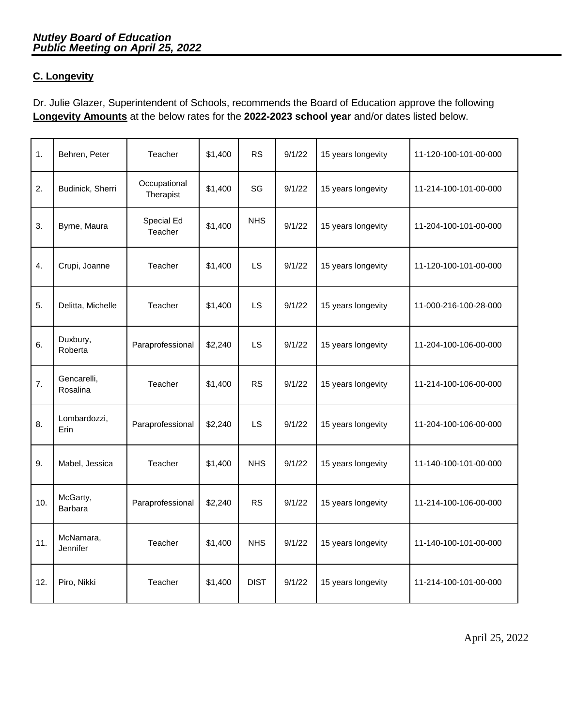## **C. Longevity**

Dr. Julie Glazer, Superintendent of Schools, recommends the Board of Education approve the following **Longevity Amounts** at the below rates for the **2022-2023 school year** and/or dates listed below.

| 1.               | Behren, Peter           | Teacher                   | \$1,400 | <b>RS</b>   | 9/1/22 | 15 years longevity | 11-120-100-101-00-000 |
|------------------|-------------------------|---------------------------|---------|-------------|--------|--------------------|-----------------------|
| 2.               | Budinick, Sherri        | Occupational<br>Therapist | \$1,400 | SG          | 9/1/22 | 15 years longevity | 11-214-100-101-00-000 |
| 3.               | Byrne, Maura            | Special Ed<br>Teacher     | \$1,400 | <b>NHS</b>  | 9/1/22 | 15 years longevity | 11-204-100-101-00-000 |
| $\overline{4}$ . | Crupi, Joanne           | Teacher                   | \$1,400 | LS          | 9/1/22 | 15 years longevity | 11-120-100-101-00-000 |
| 5.               | Delitta, Michelle       | Teacher                   | \$1,400 | LS          | 9/1/22 | 15 years longevity | 11-000-216-100-28-000 |
| 6.               | Duxbury,<br>Roberta     | Paraprofessional          | \$2,240 | LS          | 9/1/22 | 15 years longevity | 11-204-100-106-00-000 |
| 7.               | Gencarelli,<br>Rosalina | Teacher                   | \$1,400 | <b>RS</b>   | 9/1/22 | 15 years longevity | 11-214-100-106-00-000 |
| 8.               | Lombardozzi,<br>Erin    | Paraprofessional          | \$2,240 | <b>LS</b>   | 9/1/22 | 15 years longevity | 11-204-100-106-00-000 |
| 9.               | Mabel, Jessica          | Teacher                   | \$1,400 | <b>NHS</b>  | 9/1/22 | 15 years longevity | 11-140-100-101-00-000 |
| 10.              | McGarty,<br>Barbara     | Paraprofessional          | \$2,240 | <b>RS</b>   | 9/1/22 | 15 years longevity | 11-214-100-106-00-000 |
| 11.              | McNamara,<br>Jennifer   | Teacher                   | \$1,400 | <b>NHS</b>  | 9/1/22 | 15 years longevity | 11-140-100-101-00-000 |
| 12.              | Piro, Nikki             | Teacher                   | \$1,400 | <b>DIST</b> | 9/1/22 | 15 years longevity | 11-214-100-101-00-000 |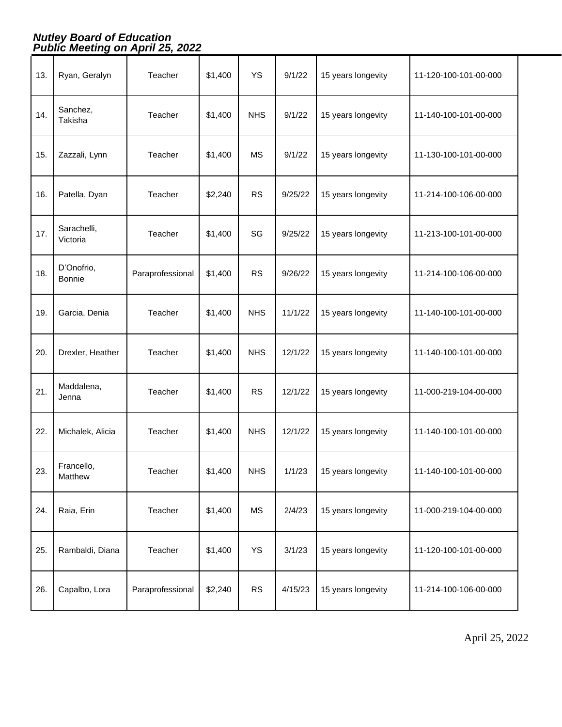| 13. | Ryan, Geralyn           | Teacher          | \$1,400 | <b>YS</b>  | 9/1/22  | 15 years longevity | 11-120-100-101-00-000 |
|-----|-------------------------|------------------|---------|------------|---------|--------------------|-----------------------|
| 14. | Sanchez,<br>Takisha     | Teacher          | \$1,400 | <b>NHS</b> | 9/1/22  | 15 years longevity | 11-140-100-101-00-000 |
| 15. | Zazzali, Lynn           | Teacher          | \$1,400 | <b>MS</b>  | 9/1/22  | 15 years longevity | 11-130-100-101-00-000 |
| 16. | Patella, Dyan           | Teacher          | \$2,240 | <b>RS</b>  | 9/25/22 | 15 years longevity | 11-214-100-106-00-000 |
| 17. | Sarachelli,<br>Victoria | Teacher          | \$1,400 | SG         | 9/25/22 | 15 years longevity | 11-213-100-101-00-000 |
| 18. | D'Onofrio,<br>Bonnie    | Paraprofessional | \$1,400 | <b>RS</b>  | 9/26/22 | 15 years longevity | 11-214-100-106-00-000 |
| 19. | Garcia, Denia           | Teacher          | \$1,400 | <b>NHS</b> | 11/1/22 | 15 years longevity | 11-140-100-101-00-000 |
| 20. | Drexler, Heather        | Teacher          | \$1,400 | <b>NHS</b> | 12/1/22 | 15 years longevity | 11-140-100-101-00-000 |
| 21. | Maddalena,<br>Jenna     | Teacher          | \$1,400 | <b>RS</b>  | 12/1/22 | 15 years longevity | 11-000-219-104-00-000 |
| 22. | Michalek, Alicia        | Teacher          | \$1,400 | <b>NHS</b> | 12/1/22 | 15 years longevity | 11-140-100-101-00-000 |
| 23. | Francello,<br>Matthew   | Teacher          | \$1,400 | <b>NHS</b> | 1/1/23  | 15 years longevity | 11-140-100-101-00-000 |
| 24. | Raia, Erin              | Teacher          | \$1,400 | <b>MS</b>  | 2/4/23  | 15 years longevity | 11-000-219-104-00-000 |
| 25. | Rambaldi, Diana         | Teacher          | \$1,400 | YS         | 3/1/23  | 15 years longevity | 11-120-100-101-00-000 |
| 26. |                         |                  |         |            |         |                    |                       |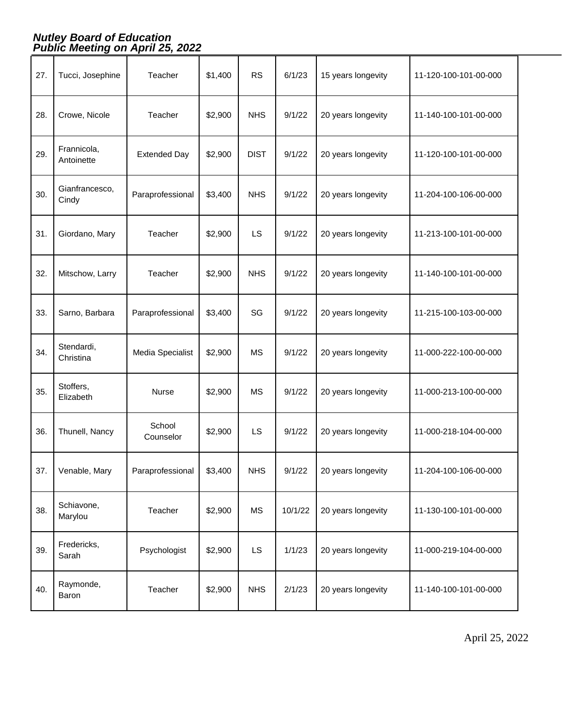| 27. | Tucci, Josephine          | Teacher             | \$1,400 | <b>RS</b>   | 6/1/23  | 15 years longevity | 11-120-100-101-00-000 |
|-----|---------------------------|---------------------|---------|-------------|---------|--------------------|-----------------------|
| 28. | Crowe, Nicole             | Teacher             | \$2,900 | <b>NHS</b>  | 9/1/22  | 20 years longevity | 11-140-100-101-00-000 |
| 29. | Frannicola,<br>Antoinette | <b>Extended Day</b> | \$2,900 | <b>DIST</b> | 9/1/22  | 20 years longevity | 11-120-100-101-00-000 |
| 30. | Gianfrancesco,<br>Cindy   | Paraprofessional    | \$3,400 | <b>NHS</b>  | 9/1/22  | 20 years longevity | 11-204-100-106-00-000 |
| 31. | Giordano, Mary            | Teacher             | \$2,900 | <b>LS</b>   | 9/1/22  | 20 years longevity | 11-213-100-101-00-000 |
| 32. | Mitschow, Larry           | Teacher             | \$2,900 | <b>NHS</b>  | 9/1/22  | 20 years longevity | 11-140-100-101-00-000 |
| 33. | Sarno, Barbara            | Paraprofessional    | \$3,400 | SG          | 9/1/22  | 20 years longevity | 11-215-100-103-00-000 |
| 34. | Stendardi,<br>Christina   | Media Specialist    | \$2,900 | <b>MS</b>   | 9/1/22  | 20 years longevity | 11-000-222-100-00-000 |
| 35. | Stoffers,<br>Elizabeth    | Nurse               | \$2,900 | MS          | 9/1/22  | 20 years longevity | 11-000-213-100-00-000 |
| 36. | Thunell, Nancy            | School<br>Counselor | \$2,900 | <b>LS</b>   | 9/1/22  | 20 years longevity | 11-000-218-104-00-000 |
| 37. | Venable, Mary             | Paraprofessional    | \$3,400 | <b>NHS</b>  | 9/1/22  | 20 years longevity | 11-204-100-106-00-000 |
| 38. | Schiavone,<br>Marylou     | Teacher             | \$2,900 | <b>MS</b>   | 10/1/22 | 20 years longevity | 11-130-100-101-00-000 |
| 39. | Fredericks,<br>Sarah      | Psychologist        | \$2,900 | <b>LS</b>   | 1/1/23  | 20 years longevity | 11-000-219-104-00-000 |
| 40. | Raymonde,<br>Baron        | Teacher             | \$2,900 | <b>NHS</b>  | 2/1/23  | 20 years longevity | 11-140-100-101-00-000 |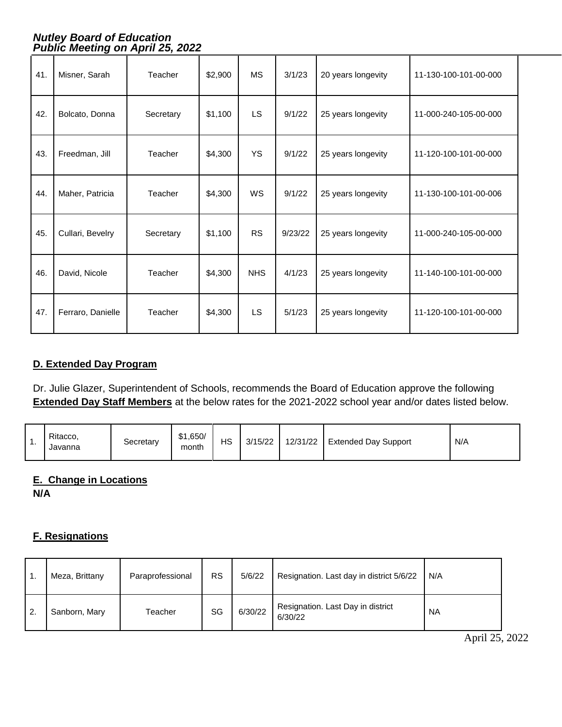| 41. | Misner, Sarah     | Teacher   | \$2,900 | <b>MS</b>  | 3/1/23  | 20 years longevity | 11-130-100-101-00-000 |
|-----|-------------------|-----------|---------|------------|---------|--------------------|-----------------------|
| 42. | Bolcato, Donna    | Secretary | \$1,100 | <b>LS</b>  | 9/1/22  | 25 years longevity | 11-000-240-105-00-000 |
| 43. | Freedman, Jill    | Teacher   | \$4,300 | <b>YS</b>  | 9/1/22  | 25 years longevity | 11-120-100-101-00-000 |
| 44. | Maher, Patricia   | Teacher   | \$4,300 | WS         | 9/1/22  | 25 years longevity | 11-130-100-101-00-006 |
| 45. | Cullari, Bevelry  | Secretary | \$1,100 | <b>RS</b>  | 9/23/22 | 25 years longevity | 11-000-240-105-00-000 |
| 46. | David, Nicole     | Teacher   | \$4,300 | <b>NHS</b> | 4/1/23  | 25 years longevity | 11-140-100-101-00-000 |
| 47. | Ferraro, Danielle | Teacher   | \$4,300 | <b>LS</b>  | 5/1/23  | 25 years longevity | 11-120-100-101-00-000 |

#### **D. Extended Day Program**

Dr. Julie Glazer, Superintendent of Schools, recommends the Board of Education approve the following **Extended Day Staff Members** at the below rates for the 2021-2022 school year and/or dates listed below.

| . . | Ritacco.<br>Javanna | Secretary | \$1,650/<br>month | НS | 3/15/22 | 12/31/22 | <b>Extended Day Support</b> | N/A |
|-----|---------------------|-----------|-------------------|----|---------|----------|-----------------------------|-----|
|-----|---------------------|-----------|-------------------|----|---------|----------|-----------------------------|-----|

## **E. Change in Locations**

**N/A**

#### **F. Resignations**

|                  | Meza, Brittany | Paraprofessional | <b>RS</b> | 5/6/22  | Resignation. Last day in district 5/6/22     | N/A       |
|------------------|----------------|------------------|-----------|---------|----------------------------------------------|-----------|
| $\overline{2}$ . | Sanborn, Mary  | Teacher          | SG        | 6/30/22 | Resignation. Last Day in district<br>6/30/22 | <b>NA</b> |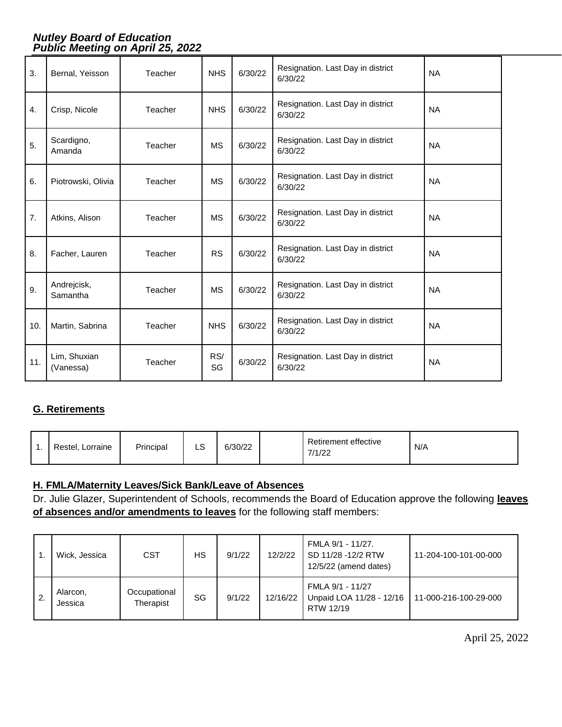| 3.  | Bernal, Yeisson           | Teacher | <b>NHS</b> | 6/30/22 | Resignation. Last Day in district<br>6/30/22 | <b>NA</b> |
|-----|---------------------------|---------|------------|---------|----------------------------------------------|-----------|
| 4.  | Crisp, Nicole             | Teacher | <b>NHS</b> | 6/30/22 | Resignation. Last Day in district<br>6/30/22 | <b>NA</b> |
| 5.  | Scardigno,<br>Amanda      | Teacher | <b>MS</b>  | 6/30/22 | Resignation. Last Day in district<br>6/30/22 | <b>NA</b> |
| 6.  | Piotrowski, Olivia        | Teacher | <b>MS</b>  | 6/30/22 | Resignation. Last Day in district<br>6/30/22 | <b>NA</b> |
| 7.  | Atkins, Alison            | Teacher | <b>MS</b>  | 6/30/22 | Resignation. Last Day in district<br>6/30/22 | <b>NA</b> |
| 8.  | Facher, Lauren            | Teacher | <b>RS</b>  | 6/30/22 | Resignation. Last Day in district<br>6/30/22 | <b>NA</b> |
| 9.  | Andrejcisk,<br>Samantha   | Teacher | <b>MS</b>  | 6/30/22 | Resignation. Last Day in district<br>6/30/22 | <b>NA</b> |
| 10. | Martin, Sabrina           | Teacher | <b>NHS</b> | 6/30/22 | Resignation. Last Day in district<br>6/30/22 | <b>NA</b> |
| 11. | Lim, Shuxian<br>(Vanessa) | Teacher | RS/<br>SG  | 6/30/22 | Resignation. Last Day in district<br>6/30/22 | <b>NA</b> |

## **G. Retirements**

| . . | Restel, Lorraine | Principal | $\sim$<br>LS | 6/30/22 |  | Retirement effective<br>7/1/22 | N/A |
|-----|------------------|-----------|--------------|---------|--|--------------------------------|-----|
|-----|------------------|-----------|--------------|---------|--|--------------------------------|-----|

## **H. FMLA/Maternity Leaves/Sick Bank/Leave of Absences**

Dr. Julie Glazer, Superintendent of Schools, recommends the Board of Education approve the following **leaves of absences and/or amendments to leaves** for the following staff members:

|    | Wick, Jessica       | <b>CST</b>                | НS | 9/1/22 | 12/2/22  | FMLA 9/1 - 11/27.<br>SD 11/28 -12/2 RTW<br>12/5/22 (amend dates) | 11-204-100-101-00-000 |
|----|---------------------|---------------------------|----|--------|----------|------------------------------------------------------------------|-----------------------|
| 2. | Alarcon.<br>Jessica | Occupational<br>Therapist | SG | 9/1/22 | 12/16/22 | FMLA 9/1 - 11/27<br>Unpaid LOA 11/28 - 12/16<br>RTW 12/19        | 11-000-216-100-29-000 |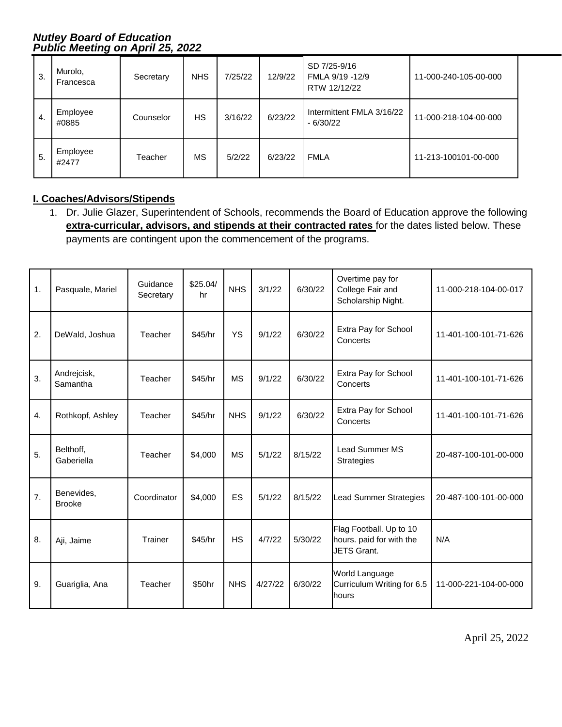| 3. | Murolo,<br>Francesca | Secretary | <b>NHS</b> | 7/25/22 | 12/9/22 | SD 7/25-9/16<br>FMLA 9/19 -12/9<br>RTW 12/12/22 | 11-000-240-105-00-000 |
|----|----------------------|-----------|------------|---------|---------|-------------------------------------------------|-----------------------|
| 4. | Employee<br>#0885    | Counselor | <b>HS</b>  | 3/16/22 | 6/23/22 | Intermittent FMLA 3/16/22<br>$-6/30/22$         | 11-000-218-104-00-000 |
| 5. | Employee<br>#2477    | Teacher   | МS         | 5/2/22  | 6/23/22 | <b>FMLA</b>                                     | 11-213-100101-00-000  |

## **I. Coaches/Advisors/Stipends**

1. Dr. Julie Glazer, Superintendent of Schools, recommends the Board of Education approve the following **extra-curricular, advisors, and stipends at their contracted rates** for the dates listed below. These payments are contingent upon the commencement of the programs.

| 1. | Pasquale, Mariel            | Guidance<br>Secretary | \$25.04/<br>hr | <b>NHS</b> | 3/1/22  | 6/30/22 | Overtime pay for<br>College Fair and<br>Scholarship Night.                | 11-000-218-104-00-017 |
|----|-----------------------------|-----------------------|----------------|------------|---------|---------|---------------------------------------------------------------------------|-----------------------|
| 2. | DeWald, Joshua              | Teacher               | \$45/hr        | <b>YS</b>  | 9/1/22  | 6/30/22 | Extra Pay for School<br>Concerts                                          | 11-401-100-101-71-626 |
| 3. | Andrejcisk,<br>Samantha     | Teacher               | \$45/hr        | <b>MS</b>  | 9/1/22  | 6/30/22 | Extra Pay for School<br>Concerts                                          | 11-401-100-101-71-626 |
| 4. | Rothkopf, Ashley            | Teacher               | \$45/hr        | <b>NHS</b> | 9/1/22  | 6/30/22 | Extra Pay for School<br>Concerts                                          | 11-401-100-101-71-626 |
| 5. | Belthoff,<br>Gaberiella     | Teacher               | \$4,000        | <b>MS</b>  | 5/1/22  | 8/15/22 | <b>Lead Summer MS</b><br><b>Strategies</b>                                | 20-487-100-101-00-000 |
| 7. | Benevides,<br><b>Brooke</b> | Coordinator           | \$4,000        | ES         | 5/1/22  | 8/15/22 | <b>Lead Summer Strategies</b>                                             | 20-487-100-101-00-000 |
| 8. | Aji, Jaime                  | Trainer               | \$45/hr        | <b>HS</b>  | 4/7/22  | 5/30/22 | Flag Football. Up to 10<br>hours. paid for with the<br><b>JETS Grant.</b> | N/A                   |
| 9. | Guariglia, Ana              | Teacher               | \$50hr         | <b>NHS</b> | 4/27/22 | 6/30/22 | World Language<br>Curriculum Writing for 6.5<br>hours                     | 11-000-221-104-00-000 |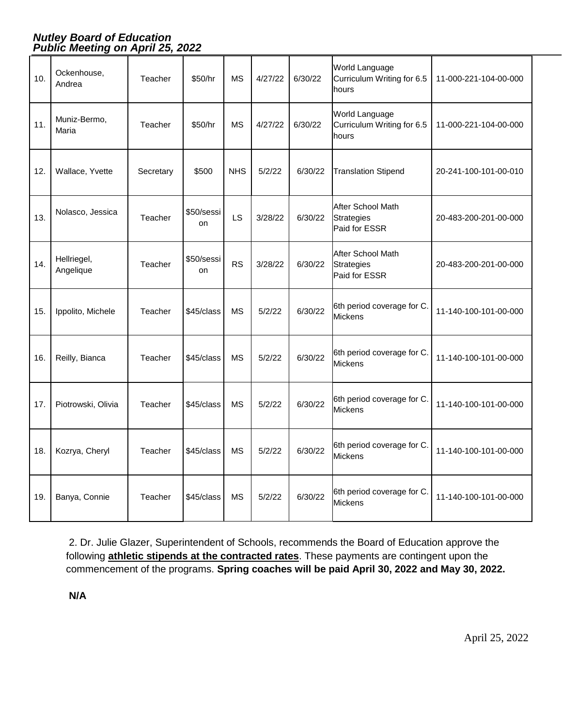| 10. | Ockenhouse,<br>Andrea    | Teacher   | \$50/hr                 | ΜS         | 4/27/22 | 6/30/22 | <b>World Language</b><br>Curriculum Writing for 6.5<br>hours | 11-000-221-104-00-000 |
|-----|--------------------------|-----------|-------------------------|------------|---------|---------|--------------------------------------------------------------|-----------------------|
| 11. | Muniz-Bermo,<br>Maria    | Teacher   | \$50/hr                 | <b>MS</b>  | 4/27/22 | 6/30/22 | World Language<br>Curriculum Writing for 6.5<br>hours        | 11-000-221-104-00-000 |
| 12. | Wallace, Yvette          | Secretary | \$500                   | <b>NHS</b> | 5/2/22  | 6/30/22 | <b>Translation Stipend</b>                                   | 20-241-100-101-00-010 |
| 13. | Nolasco, Jessica         | Teacher   | \$50/sessi<br><b>on</b> | <b>LS</b>  | 3/28/22 | 6/30/22 | After School Math<br><b>Strategies</b><br>Paid for ESSR      | 20-483-200-201-00-000 |
| 14. | Hellriegel,<br>Angelique | Teacher   | \$50/sessi<br><b>on</b> | <b>RS</b>  | 3/28/22 | 6/30/22 | After School Math<br>Strategies<br>Paid for ESSR             | 20-483-200-201-00-000 |
| 15. | Ippolito, Michele        | Teacher   | \$45/class              | <b>MS</b>  | 5/2/22  | 6/30/22 | 6th period coverage for C.<br><b>Mickens</b>                 | 11-140-100-101-00-000 |
| 16. | Reilly, Bianca           | Teacher   | \$45/class              | MS         | 5/2/22  | 6/30/22 | 6th period coverage for C.<br>Mickens                        | 11-140-100-101-00-000 |
| 17. | Piotrowski, Olivia       | Teacher   | \$45/class              | <b>MS</b>  | 5/2/22  | 6/30/22 | 6th period coverage for C.<br><b>Mickens</b>                 | 11-140-100-101-00-000 |
| 18. | Kozrya, Cheryl           | Teacher   | \$45/class              | <b>MS</b>  | 5/2/22  | 6/30/22 | 6th period coverage for C.<br><b>Mickens</b>                 | 11-140-100-101-00-000 |
| 19. | Banya, Connie            | Teacher   | \$45/class              | <b>MS</b>  | 5/2/22  | 6/30/22 | 6th period coverage for C.<br>Mickens                        | 11-140-100-101-00-000 |

2. Dr. Julie Glazer, Superintendent of Schools, recommends the Board of Education approve the following **athletic stipends at the contracted rates**. These payments are contingent upon the commencement of the programs. **Spring coaches will be paid April 30, 2022 and May 30, 2022.**

**N/A**